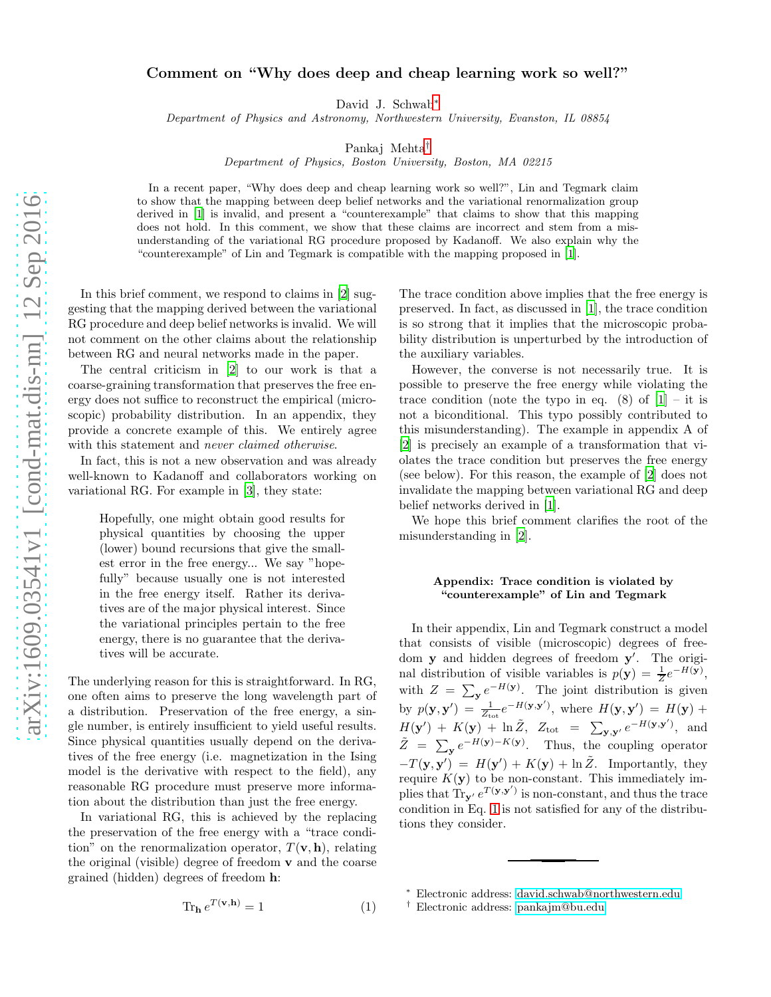## Comment on "Why does deep and cheap learning work so well?"

David J. Schwab[∗](#page-0-0)

Department of Physics and Astronomy, Northwestern University, Evanston, IL 08854

Pankaj Mehta[†](#page-0-1)

Department of Physics, Boston University, Boston, MA 02215

In a recent paper, "Why does deep and cheap learning work so well?", Lin and Tegmark claim to show that the mapping between deep belief networks and the variational renormalization group derived in [\[1\]](#page-1-0) is invalid, and present a "counterexample" that claims to show that this mapping does not hold. In this comment, we show that these claims are incorrect and stem from a misunderstanding of the variational RG procedure proposed by Kadanoff. We also explain why the "counterexample" of Lin and Tegmark is compatible with the mapping proposed in [\[1\]](#page-1-0).

In this brief comment, we respond to claims in [\[2\]](#page-1-1) suggesting that the mapping derived between the variational RG procedure and deep belief networks is invalid. We will not comment on the other claims about the relationship between RG and neural networks made in the paper.

The central criticism in [\[2](#page-1-1)] to our work is that a coarse-graining transformation that preserves the free energy does not suffice to reconstruct the empirical (microscopic) probability distribution. In an appendix, they provide a concrete example of this. We entirely agree with this statement and never claimed otherwise.

In fact, this is not a new observation and was already well-known to Kadanoff and collaborators working on variational RG. For example in [\[3\]](#page-1-2), they state:

Hopefully, one might obtain good results for physical quantities by choosing the upper (lower) bound recursions that give the smallest error in the free energy... We say "hopefully" because usually one is not interested in the free energy itself. Rather its derivatives are of the major physical interest. Since the variational principles pertain to the free energy, there is no guarantee that the derivatives will be accurate.

The underlying reason for this is straightforward. In RG, one often aims to preserve the long wavelength part of a distribution. Preservation of the free energy, a single number, is entirely insufficient to yield useful results. Since physical quantities usually depend on the derivatives of the free energy (i.e. magnetization in the Ising model is the derivative with respect to the field), any reasonable RG procedure must preserve more information about the distribution than just the free energy.

In variational RG, this is achieved by the replacing the preservation of the free energy with a "trace condition" on the renormalization operator,  $T(\mathbf{v}, \mathbf{h})$ , relating the original (visible) degree of freedom v and the coarse grained (hidden) degrees of freedom h:

<span id="page-0-2"></span>
$$
\operatorname{Tr}_{\mathbf{h}} e^{T(\mathbf{v}, \mathbf{h})} = 1 \tag{1}
$$

The trace condition above implies that the free energy is preserved. In fact, as discussed in [\[1](#page-1-0)], the trace condition is so strong that it implies that the microscopic probability distribution is unperturbed by the introduction of the auxiliary variables.

However, the converse is not necessarily true. It is possible to preserve the free energy while violating the trace condition (note the typo in eq.  $(8)$  of  $[1]$  – it is not a biconditional. This typo possibly contributed to this misunderstanding). The example in appendix A of [\[2\]](#page-1-1) is precisely an example of a transformation that violates the trace condition but preserves the free energy (see below). For this reason, the example of [\[2](#page-1-1)] does not invalidate the mapping between variational RG and deep belief networks derived in [\[1\]](#page-1-0).

We hope this brief comment clarifies the root of the misunderstanding in [\[2\]](#page-1-1).

## Appendix: Trace condition is violated by "counterexample" of Lin and Tegmark

In their appendix, Lin and Tegmark construct a model that consists of visible (microscopic) degrees of freedom y and hidden degrees of freedom y'. The original distribution of visible variables is  $p(\mathbf{y}) = \frac{1}{Z}e^{-H(\mathbf{y})}$ , with  $Z = \sum_{\mathbf{y}} e^{-H(\mathbf{y})}$ . The joint distribution is given by  $p(\mathbf{y}, \mathbf{y}') = \frac{1}{Z_{\text{tot}}} e^{-H(\mathbf{y}, \mathbf{y}')}$ , where  $H(\mathbf{y}, \mathbf{y}') = H(\mathbf{y}) +$  $H(\mathbf{y}') + K(\mathbf{y}) + \ln \tilde{Z}$ ,  $Z_{\text{tot}} = \sum_{\mathbf{y}, \mathbf{y}'} e^{-H(\mathbf{y}, \mathbf{y}')}$ , and  $\tilde{Z} = \sum_{\mathbf{y}} e^{-H(\mathbf{y}) - K(\mathbf{y})}$ . Thus, the coupling operator  $-T(\mathbf{y}, \mathbf{y}') = H(\mathbf{y}') + K(\mathbf{y}) + \ln \tilde{Z}$ . Importantly, they require  $K(\mathbf{y})$  to be non-constant. This immediately implies that  $Tr_{\mathbf{y'}} e^{T(\mathbf{y}, \mathbf{y'})}$  is non-constant, and thus the trace condition in Eq. [1](#page-0-2) is not satisfied for any of the distributions they consider.

<sup>∗</sup> Electronic address: [david.schwab@northwestern.edu](mailto:david.schwab@northwestern.edu)

<span id="page-0-1"></span><span id="page-0-0"></span><sup>†</sup> Electronic address: [pankajm@bu.edu](mailto:pankajm@bu.edu)